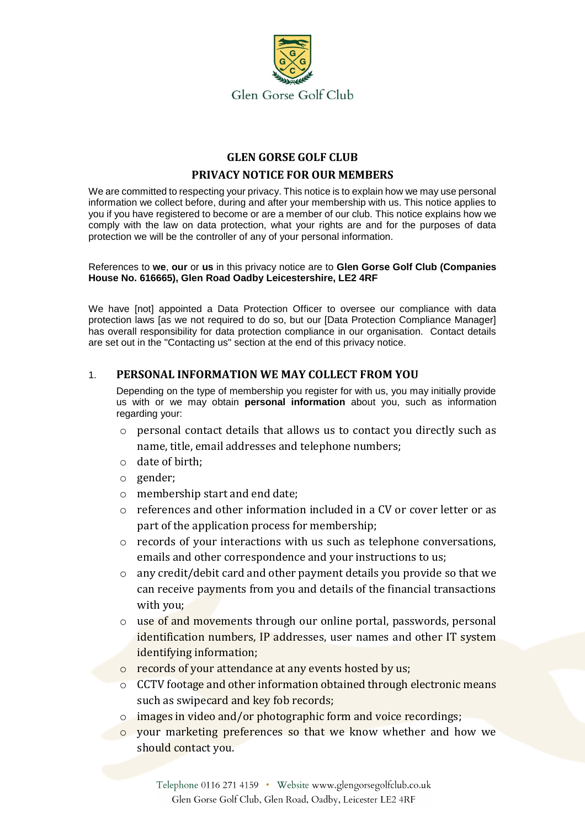

# **GLEN GORSE GOLF CLUB PRIVACY NOTICE FOR OUR MEMBERS**

We are committed to respecting your privacy. This notice is to explain how we may use personal information we collect before, during and after your membership with us. This notice applies to you if you have registered to become or are a member of our club. This notice explains how we comply with the law on data protection, what your rights are and for the purposes of data protection we will be the controller of any of your personal information.

References to **we**, **our** or **us** in this privacy notice are to **Glen Gorse Golf Club (Companies House No. 616665), Glen Road Oadby Leicestershire, LE2 4RF** 

We have [not] appointed a Data Protection Officer to oversee our compliance with data protection laws [as we not required to do so, but our [Data Protection Compliance Manager] has overall responsibility for data protection compliance in our organisation. Contact details are set out in the "Contacting us" section at the end of this privacy notice.

### 1. **PERSONAL INFORMATION WE MAY COLLECT FROM YOU**

Depending on the type of membership you register for with us, you may initially provide us with or we may obtain **personal information** about you, such as information regarding your:

- o personal contact details that allows us to contact you directly such as name, title, email addresses and telephone numbers;
- o date of birth;
- o gender;
- o membership start and end date;
- $\circ$  references and other information included in a CV or cover letter or as part of the application process for membership;
- o records of your interactions with us such as telephone conversations, emails and other correspondence and your instructions to us;
- o any credit/debit card and other payment details you provide so that we can receive payments from you and details of the financial transactions with you;
- o use of and movements through our online portal, passwords, personal identification numbers, IP addresses, user names and other IT system identifying information;
- o records of your attendance at any events hosted by us;
- o CCTV footage and other information obtained through electronic means such as swipecard and key fob records;
- o images in video and/or photographic form and voice recordings;
- o your marketing preferences so that we know whether and how we should contact you.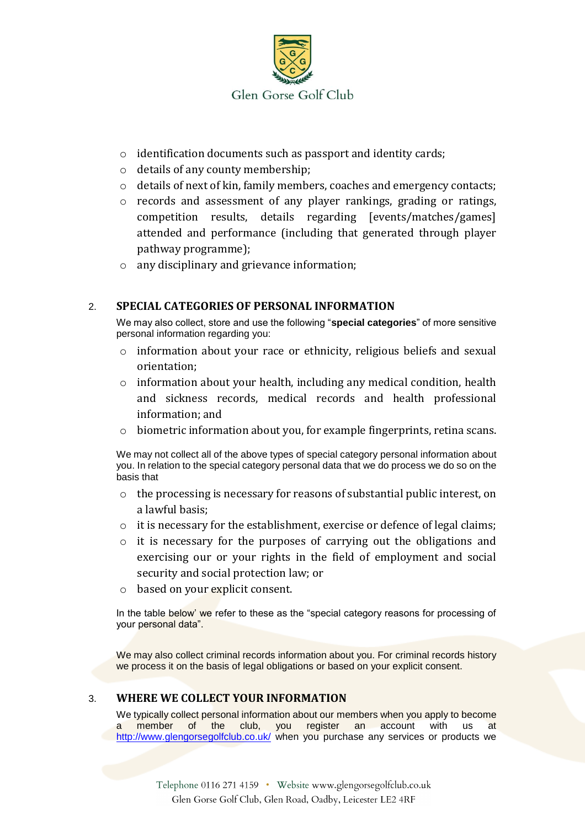

- o identification documents such as passport and identity cards;
- o details of any county membership;
- o details of next of kin, family members, coaches and emergency contacts;
- o records and assessment of any player rankings, grading or ratings, competition results, details regarding [events/matches/games] attended and performance (including that generated through player pathway programme);
- o any disciplinary and grievance information;

# 2. **SPECIAL CATEGORIES OF PERSONAL INFORMATION**

We may also collect, store and use the following "**special categories**" of more sensitive personal information regarding you:

- o information about your race or ethnicity, religious beliefs and sexual orientation;
- $\circ$  information about your health, including any medical condition, health and sickness records, medical records and health professional information; and
- $\circ$  biometric information about you, for example fingerprints, retina scans.

We may not collect all of the above types of special category personal information about you. In relation to the special category personal data that we do process we do so on the basis that

- o the processing is necessary for reasons of substantial public interest, on a lawful basis;
- o it is necessary for the establishment, exercise or defence of legal claims;
- o it is necessary for the purposes of carrying out the obligations and exercising our or your rights in the field of employment and social security and social protection law; or
- o based on your explicit consent.

In the table below' we refer to these as the "special category reasons for processing of your personal data".

We may also collect criminal records information about you. For criminal records history we process it on the basis of legal obligations or based on your explicit consent.

### 3. **WHERE WE COLLECT YOUR INFORMATION**

We typically collect personal information about our members when you apply to become member of the club, you register an account with us at <http://www.glengorsegolfclub.co.uk/> when you purchase any services or products we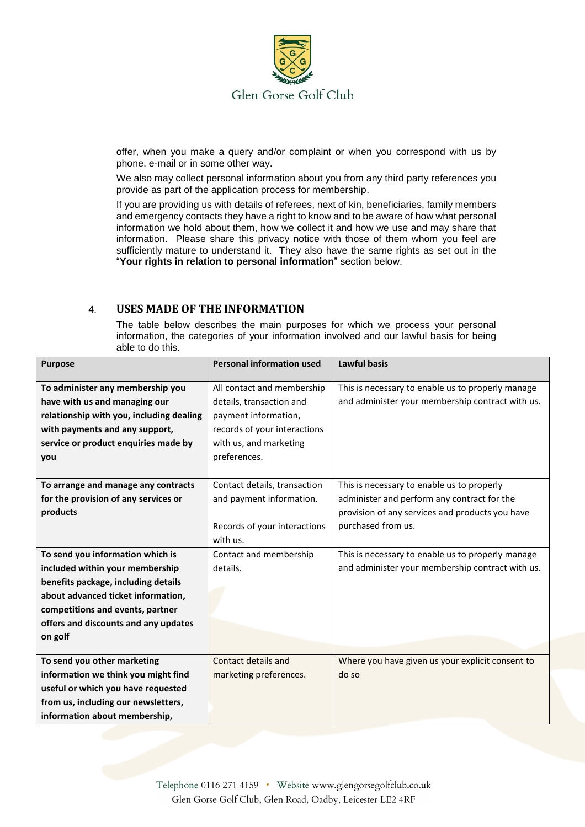

offer, when you make a query and/or complaint or when you correspond with us by phone, e-mail or in some other way.

We also may collect personal information about you from any third party references you provide as part of the application process for membership.

If you are providing us with details of referees, next of kin, beneficiaries, family members and emergency contacts they have a right to know and to be aware of how what personal information we hold about them, how we collect it and how we use and may share that information. Please share this privacy notice with those of them whom you feel are sufficiently mature to understand it. They also have the same rights as set out in the "**Your rights in relation to personal information**" section below.

# 4. **USES MADE OF THE INFORMATION**

The table below describes the main purposes for which we process your personal information, the categories of your information involved and our lawful basis for being able to do this.

| <b>Purpose</b>                           | <b>Personal information used</b> | Lawful basis                                      |
|------------------------------------------|----------------------------------|---------------------------------------------------|
|                                          |                                  |                                                   |
| To administer any membership you         | All contact and membership       | This is necessary to enable us to properly manage |
| have with us and managing our            | details, transaction and         | and administer your membership contract with us.  |
| relationship with you, including dealing | payment information,             |                                                   |
| with payments and any support,           | records of your interactions     |                                                   |
| service or product enquiries made by     | with us, and marketing           |                                                   |
| you                                      | preferences.                     |                                                   |
|                                          |                                  |                                                   |
| To arrange and manage any contracts      | Contact details, transaction     | This is necessary to enable us to properly        |
| for the provision of any services or     | and payment information.         | administer and perform any contract for the       |
| products                                 |                                  | provision of any services and products you have   |
|                                          | Records of your interactions     | purchased from us.                                |
|                                          | with us.                         |                                                   |
| To send you information which is         | Contact and membership           | This is necessary to enable us to properly manage |
| included within your membership          | details.                         | and administer your membership contract with us.  |
| benefits package, including details      |                                  |                                                   |
| about advanced ticket information,       |                                  |                                                   |
| competitions and events, partner         |                                  |                                                   |
| offers and discounts and any updates     |                                  |                                                   |
| on golf                                  |                                  |                                                   |
|                                          |                                  |                                                   |
| To send you other marketing              | Contact details and              | Where you have given us your explicit consent to  |
| information we think you might find      | marketing preferences.           | do so                                             |
| useful or which you have requested       |                                  |                                                   |
| from us, including our newsletters,      |                                  |                                                   |
| information about membership,            |                                  |                                                   |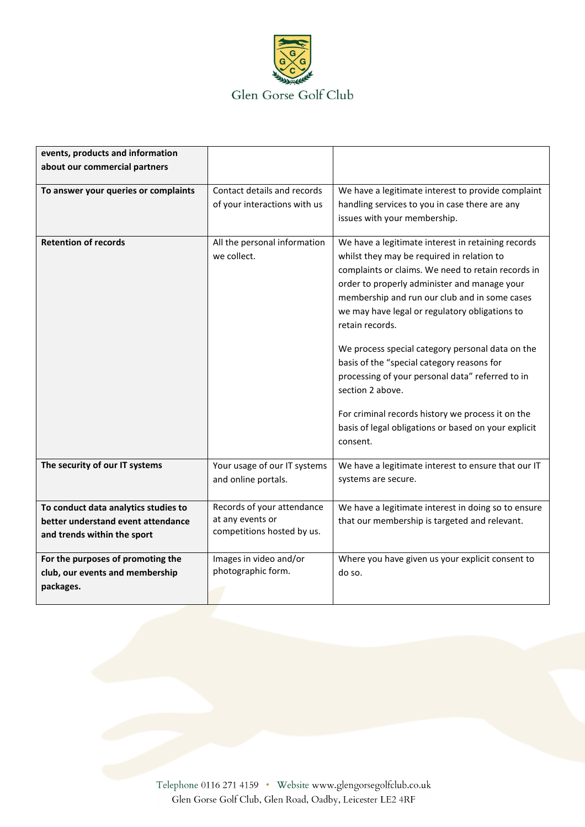

| events, products and information     |                              |                                                      |
|--------------------------------------|------------------------------|------------------------------------------------------|
| about our commercial partners        |                              |                                                      |
|                                      |                              |                                                      |
| To answer your queries or complaints | Contact details and records  | We have a legitimate interest to provide complaint   |
|                                      | of your interactions with us | handling services to you in case there are any       |
|                                      |                              | issues with your membership.                         |
|                                      |                              |                                                      |
| <b>Retention of records</b>          | All the personal information | We have a legitimate interest in retaining records   |
|                                      | we collect.                  | whilst they may be required in relation to           |
|                                      |                              | complaints or claims. We need to retain records in   |
|                                      |                              | order to properly administer and manage your         |
|                                      |                              | membership and run our club and in some cases        |
|                                      |                              | we may have legal or regulatory obligations to       |
|                                      |                              | retain records.                                      |
|                                      |                              |                                                      |
|                                      |                              | We process special category personal data on the     |
|                                      |                              | basis of the "special category reasons for           |
|                                      |                              | processing of your personal data" referred to in     |
|                                      |                              | section 2 above.                                     |
|                                      |                              |                                                      |
|                                      |                              | For criminal records history we process it on the    |
|                                      |                              | basis of legal obligations or based on your explicit |
|                                      |                              | consent.                                             |
|                                      |                              |                                                      |
| The security of our IT systems       | Your usage of our IT systems | We have a legitimate interest to ensure that our IT  |
|                                      | and online portals.          | systems are secure.                                  |
|                                      |                              |                                                      |
| To conduct data analytics studies to | Records of your attendance   | We have a legitimate interest in doing so to ensure  |
| better understand event attendance   | at any events or             | that our membership is targeted and relevant.        |
| and trends within the sport          | competitions hosted by us.   |                                                      |
|                                      |                              |                                                      |
| For the purposes of promoting the    | Images in video and/or       | Where you have given us your explicit consent to     |
| club, our events and membership      | photographic form.           | do so.                                               |
| packages.                            |                              |                                                      |
|                                      |                              |                                                      |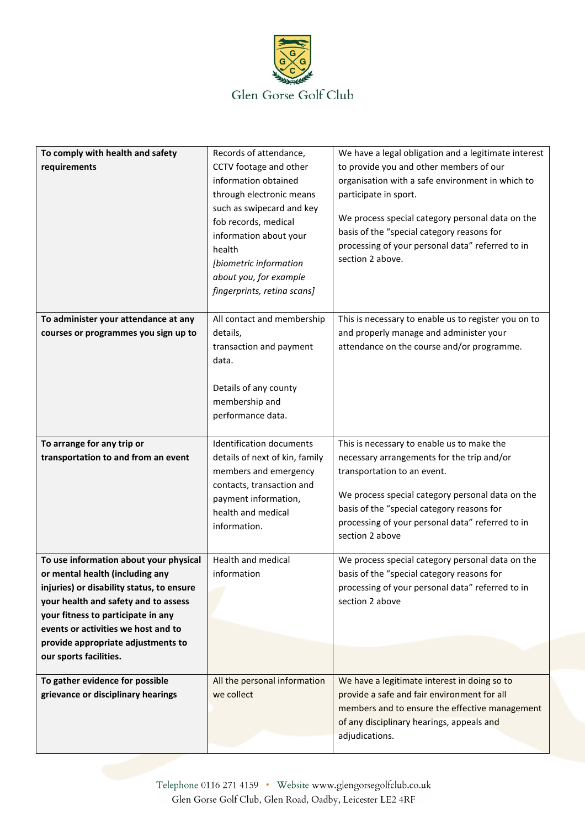

| To comply with health and safety<br>requirements                                                                                                                                                                                                                                                            | Records of attendance,<br>CCTV footage and other<br>information obtained<br>through electronic means<br>such as swipecard and key<br>fob records, medical<br>information about your<br>health<br>[biometric information<br>about you, for example<br>fingerprints, retina scans] | We have a legal obligation and a legitimate interest<br>to provide you and other members of our<br>organisation with a safe environment in which to<br>participate in sport.<br>We process special category personal data on the<br>basis of the "special category reasons for<br>processing of your personal data" referred to in<br>section 2 above. |
|-------------------------------------------------------------------------------------------------------------------------------------------------------------------------------------------------------------------------------------------------------------------------------------------------------------|----------------------------------------------------------------------------------------------------------------------------------------------------------------------------------------------------------------------------------------------------------------------------------|--------------------------------------------------------------------------------------------------------------------------------------------------------------------------------------------------------------------------------------------------------------------------------------------------------------------------------------------------------|
| To administer your attendance at any<br>courses or programmes you sign up to                                                                                                                                                                                                                                | All contact and membership<br>details,<br>transaction and payment<br>data.<br>Details of any county<br>membership and<br>performance data.                                                                                                                                       | This is necessary to enable us to register you on to<br>and properly manage and administer your<br>attendance on the course and/or programme.                                                                                                                                                                                                          |
| To arrange for any trip or<br>transportation to and from an event                                                                                                                                                                                                                                           | <b>Identification documents</b><br>details of next of kin, family<br>members and emergency<br>contacts, transaction and<br>payment information,<br>health and medical<br>information.                                                                                            | This is necessary to enable us to make the<br>necessary arrangements for the trip and/or<br>transportation to an event.<br>We process special category personal data on the<br>basis of the "special category reasons for<br>processing of your personal data" referred to in<br>section 2 above                                                       |
| To use information about your physical<br>or mental health (including any<br>injuries) or disability status, to ensure<br>your health and safety and to assess<br>your fitness to participate in any<br>events or activities we host and to<br>provide appropriate adjustments to<br>our sports facilities. | Health and medical<br>information                                                                                                                                                                                                                                                | We process special category personal data on the<br>basis of the "special category reasons for<br>processing of your personal data" referred to in<br>section 2 above                                                                                                                                                                                  |
| To gather evidence for possible<br>grievance or disciplinary hearings                                                                                                                                                                                                                                       | All the personal information<br>we collect                                                                                                                                                                                                                                       | We have a legitimate interest in doing so to<br>provide a safe and fair environment for all<br>members and to ensure the effective management<br>of any disciplinary hearings, appeals and<br>adjudications.                                                                                                                                           |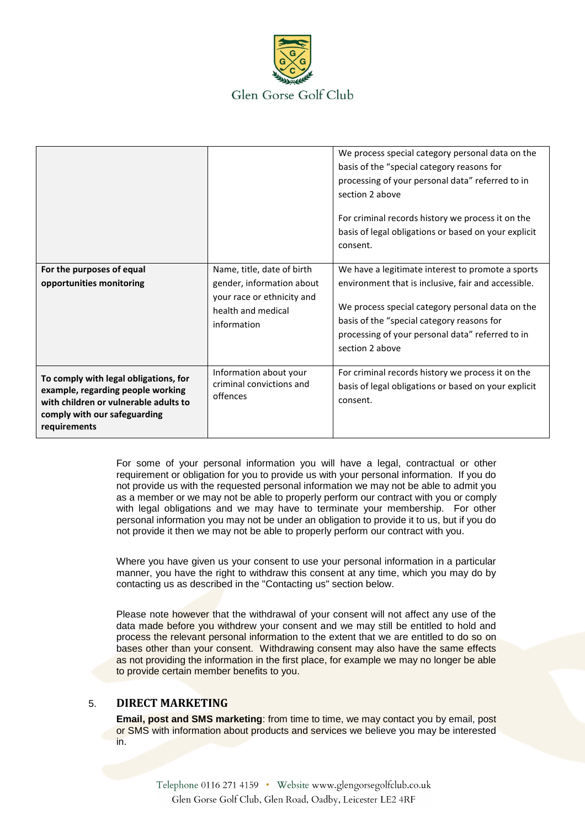

|                                                                                                                                                                     |                                                                                                                            | We process special category personal data on the<br>basis of the "special category reasons for<br>processing of your personal data" referred to in<br>section 2 above<br>For criminal records history we process it on the<br>basis of legal obligations or based on your explicit<br>consent. |
|---------------------------------------------------------------------------------------------------------------------------------------------------------------------|----------------------------------------------------------------------------------------------------------------------------|------------------------------------------------------------------------------------------------------------------------------------------------------------------------------------------------------------------------------------------------------------------------------------------------|
| For the purposes of equal<br>opportunities monitoring                                                                                                               | Name, title, date of birth<br>gender, information about<br>your race or ethnicity and<br>health and medical<br>information | We have a legitimate interest to promote a sports<br>environment that is inclusive, fair and accessible.<br>We process special category personal data on the<br>basis of the "special category reasons for<br>processing of your personal data" referred to in<br>section 2 above              |
| To comply with legal obligations, for<br>example, regarding people working<br>with children or vulnerable adults to<br>comply with our safeguarding<br>requirements | Information about your<br>criminal convictions and<br>offences                                                             | For criminal records history we process it on the<br>basis of legal obligations or based on your explicit<br>consent.                                                                                                                                                                          |

For some of your personal information you will have a legal, contractual or other requirement or obligation for you to provide us with your personal information. If you do not provide us with the requested personal information we may not be able to admit you as a member or we may not be able to properly perform our contract with you or comply with legal obligations and we may have to terminate your membership. For other personal information you may not be under an obligation to provide it to us, but if you do not provide it then we may not be able to properly perform our contract with you.

Where you have given us your consent to use your personal information in a particular manner, you have the right to withdraw this consent at any time, which you may do by contacting us as described in the "Contacting us" section below.

Please note however that the withdrawal of your consent will not affect any use of the data made before you withdrew your consent and we may still be entitled to hold and process the relevant personal information to the extent that we are entitled to do so on bases other than your consent. Withdrawing consent may also have the same effects as not providing the information in the first place, for example we may no longer be able to provide certain member benefits to you.

### 5. **DIRECT MARKETING**

**Email, post and SMS marketing**: from time to time, we may contact you by email, post or SMS with information about products and services we believe you may be interested in.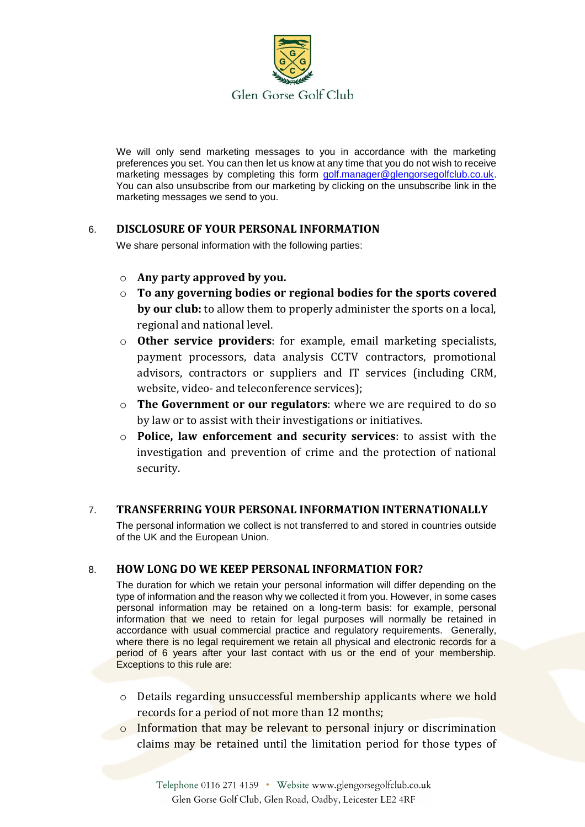

We will only send marketing messages to you in accordance with the marketing preferences you set. You can then let us know at any time that you do not wish to receive marketing messages by completing this form [golf.manager@glengorsegolfclub.co.uk.](mailto:golf.manager@glengorsegolfclub.co.uk) You can also unsubscribe from our marketing by clicking on the unsubscribe link in the marketing messages we send to you.

# 6. **DISCLOSURE OF YOUR PERSONAL INFORMATION**

We share personal information with the following parties:

- o **Any party approved by you.**
- o **To any governing bodies or regional bodies for the sports covered by our club:** to allow them to properly administer the sports on a local, regional and national level.
- o **Other service providers**: for example, email marketing specialists, payment processors, data analysis CCTV contractors, promotional advisors, contractors or suppliers and IT services (including CRM, website, video- and teleconference services);
- o **The Government or our regulators**: where we are required to do so by law or to assist with their investigations or initiatives.
- o **Police, law enforcement and security services**: to assist with the investigation and prevention of crime and the protection of national security.

# 7. **TRANSFERRING YOUR PERSONAL INFORMATION INTERNATIONALLY**

The personal information we collect is not transferred to and stored in countries outside of the UK and the European Union.

# 8. **HOW LONG DO WE KEEP PERSONAL INFORMATION FOR?**

The duration for which we retain your personal information will differ depending on the type of information and the reason why we collected it from you. However, in some cases personal information may be retained on a long-term basis: for example, personal information that we need to retain for legal purposes will normally be retained in accordance with usual commercial practice and regulatory requirements. Generally, where there is no legal requirement we retain all physical and electronic records for a period of 6 years after your last contact with us or the end of your membership. Exceptions to this rule are:

- o Details regarding unsuccessful membership applicants where we hold records for a period of not more than 12 months;
- $\circ$  Information that may be relevant to personal injury or discrimination claims may be retained until the limitation period for those types of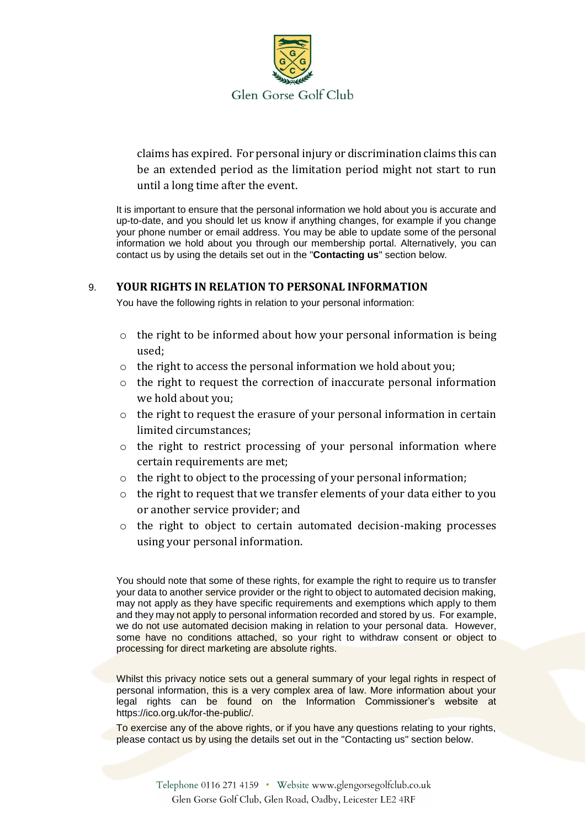

claims has expired. For personal injury or discrimination claims this can be an extended period as the limitation period might not start to run until a long time after the event.

It is important to ensure that the personal information we hold about you is accurate and up-to-date, and you should let us know if anything changes, for example if you change your phone number or email address. You may be able to update some of the personal information we hold about you through our membership portal. Alternatively, you can contact us by using the details set out in the "**Contacting us**" section below.

### 9. **YOUR RIGHTS IN RELATION TO PERSONAL INFORMATION**

You have the following rights in relation to your personal information:

- o the right to be informed about how your personal information is being used;
- o the right to access the personal information we hold about you;
- o the right to request the correction of inaccurate personal information we hold about you;
- o the right to request the erasure of your personal information in certain limited circumstances;
- o the right to restrict processing of your personal information where certain requirements are met;
- o the right to object to the processing of your personal information;
- o the right to request that we transfer elements of your data either to you or another service provider; and
- o the right to object to certain automated decision-making processes using your personal information.

You should note that some of these rights, for example the right to require us to transfer your data to another service provider or the right to object to automated decision making, may not apply as they have specific requirements and exemptions which apply to them and they may not apply to personal information recorded and stored by us. For example, we do not use automated decision making in relation to your personal data. However, some have no conditions attached, so your right to withdraw consent or object to processing for direct marketing are absolute rights.

Whilst this privacy notice sets out a general summary of your legal rights in respect of personal information, this is a very complex area of law. More information about your legal rights can be found on the Information Commissioner's website at https://ico.org.uk/for-the-public/.

To exercise any of the above rights, or if you have any questions relating to your rights, please contact us by using the details set out in the "Contacting us" section below.